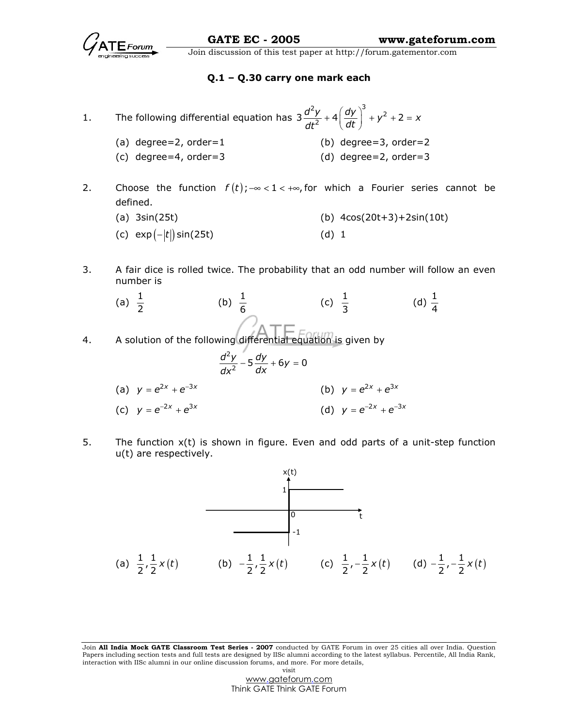

### Q.1 – Q.30 carry one mark each

1. The following differential equation has  $\int^{2}y^{3}$   $\sqrt{dy}$   $\Big|^{3}$  $3 \frac{d^2y}{dt^2} + 4 \left(\frac{dy}{dt}\right)^2 + y^2 + 2 = x$  $+ 4 \left( \frac{dy}{dt} \right)^3 + y^2 + 2 =$ 

- (a) degree=2, order=1 (b) degree=3, order=2 (c) degree=4, order=3 (d) degree=2, order=3
- 2. Choose the function  $f(t)$ ;  $-\infty < 1 < +\infty$ , for which a Fourier series cannot be defined.
	- (a)  $3\sin(25t)$  (b)  $4\cos(20t+3)+2\sin(10t)$ (c)  $exp(-|t|)sin(25t)$  (d) 1
- 3. A fair dice is rolled twice. The probability that an odd number will follow an even number is
- (a)  $\frac{1}{2}$ (b)  $\frac{1}{6}$ (c)  $\frac{1}{3}$ (d)  $\frac{1}{4}$ 4. A solution of the following differential equation is given by 2  $\frac{d^2y}{dx^2} - 5\frac{dy}{dx} + 6y = 0$ (a)  $y = e^{2x} + e^{-3x}$ (b)  $y = e^{2x} + e^{3x}$ (c)  $y = e^{-2x} + e^{3x}$ (d)  $y = e^{-2x} + e^{-3x}$
- 5. The function x(t) is shown in figure. Even and odd parts of a unit-step function u(t) are respectively.



Join All India Mock GATE Classroom Test Series - 2007 conducted by GATE Forum in over 25 cities all over India. Question Papers including section tests and full tests are designed by IISc alumni according to the latest syllabus. Percentile, All India Rank, interaction with IISc alumni in our online discussion forums, and more. For more details, visit

> www.gateforum.com Think GATE Think GATE Forum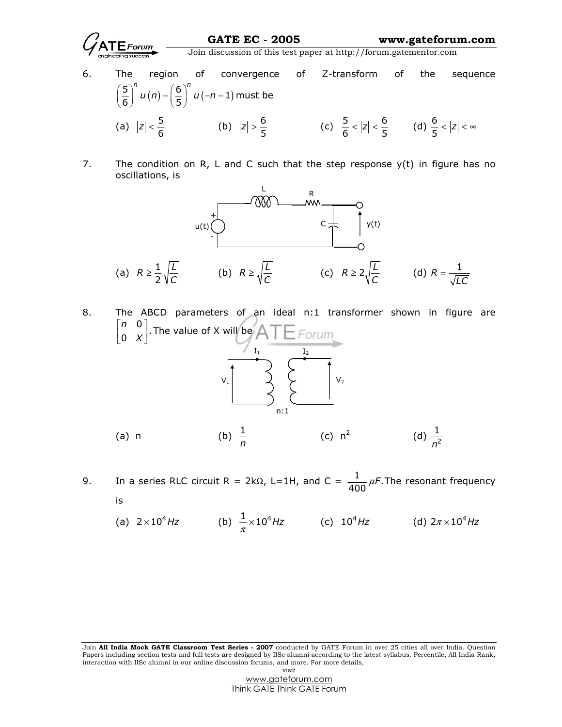- 6. The region of convergence of Z-transform of the sequence  $\left(\frac{5}{6}\right)^n u(n) - \left(\frac{6}{5}\right)^n u(-n-1)$ n  $\left(\frac{1}{2}\right)^n$  $\left(\frac{5}{6}\right)^{n} u(n) - \left(\frac{6}{5}\right)^{n} u(-n-1)$  must be (a)  $|z| < \frac{5}{6}$  (b)  $|z| > \frac{6}{5}$  (c)  $\frac{5}{6} < |z| < \frac{6}{5}$  (d)  $\frac{6}{5} < |z| < \infty$
- 7. The condition on R, L and C such that the step response  $y(t)$  in figure has no oscillations, is



8. The ABCD parameters of an ideal n:1 transformer shown in figure are  $\begin{bmatrix} n & 0 \\ 0 & X \end{bmatrix}$ . n X  $\begin{bmatrix} n & 0 \end{bmatrix}$  $\begin{bmatrix} 1 & 0 \\ 0 & X \end{bmatrix}$ . The value of X will be



- 9. In a series RLC circuit R = 2k $\Omega$ , L=1H, and C =  $\frac{1}{400} \mu F$ . The resonant frequency is
- (a)  $2 \times 10^4$  Hz (b)  $\frac{1}{\pi} \times 10^4$  Hz (c)  $10^4$  Hz (d)  $2 \pi \times 10^4$  Hz

n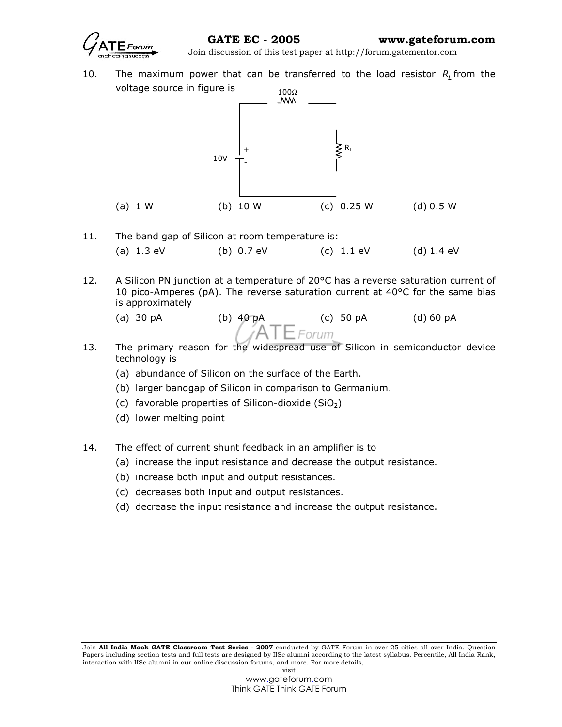

10. The maximum power that can be transferred to the load resistor  $R_{L}$  from the voltage source in figure is



- 11. The band gap of Silicon at room temperature is: (a) 1.3 eV (b) 0.7 eV (c) 1.1 eV (d) 1.4 eV
- 12. A Silicon PN junction at a temperature of  $20^{\circ}$ C has a reverse saturation current of 10 pico-Amperes (pA). The reverse saturation current at 40°C for the same bias is approximately
	-
	- (a) 30 pA (b) 40 pA (c) 50 pA (d) 60 pA
- 13. The primary reason for the widespread use of Silicon in semiconductor device technology is
	- (a) abundance of Silicon on the surface of the Earth.
	- (b) larger bandgap of Silicon in comparison to Germanium.
	- (c) favorable properties of Silicon-dioxide  $(SiO<sub>2</sub>)$
	- (d) lower melting point
- 14. The effect of current shunt feedback in an amplifier is to
	- (a) increase the input resistance and decrease the output resistance.
	- (b) increase both input and output resistances.
	- (c) decreases both input and output resistances.
	- (d) decrease the input resistance and increase the output resistance.

Join All India Mock GATE Classroom Test Series - 2007 conducted by GATE Forum in over 25 cities all over India. Question Papers including section tests and full tests are designed by IISc alumni according to the latest syllabus. Percentile, All India Rank, interaction with IISc alumni in our online discussion forums, and more. For more details, visit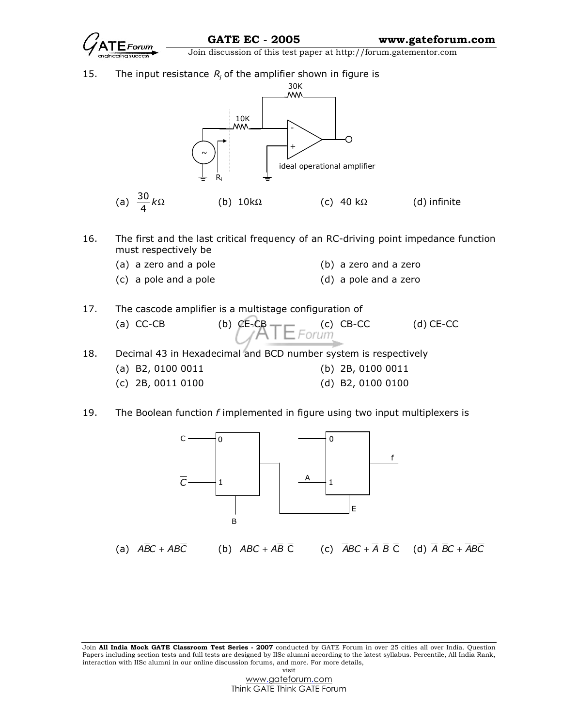

15. The input resistance  $R_i$  of the amplifier shown in figure is



- 16. The first and the last critical frequency of an RC-driving point impedance function must respectively be
	- (a) a zero and a pole (b) a zero and a zero
	- (c) a pole and a pole (d) a pole and a zero

| 17. | The cascode amplifier is a multistage configuration of |                                         |  |             |  |  |
|-----|--------------------------------------------------------|-----------------------------------------|--|-------------|--|--|
|     | $(a) CC-CB$                                            | (b) $CE-CB$ (c) $CB-CC$<br>$/ATE$ Forum |  | $(d)$ CE-CC |  |  |
|     |                                                        |                                         |  |             |  |  |

- 18. Decimal 43 in Hexadecimal and BCD number system is respectively
	- (a) B2, 0100 0011 (b) 2B, 0100 0011
	- (c) 2B, 0011 0100 (d) B2, 0100 0100
- 19. The Boolean function  $f$  implemented in figure using two input multiplexers is

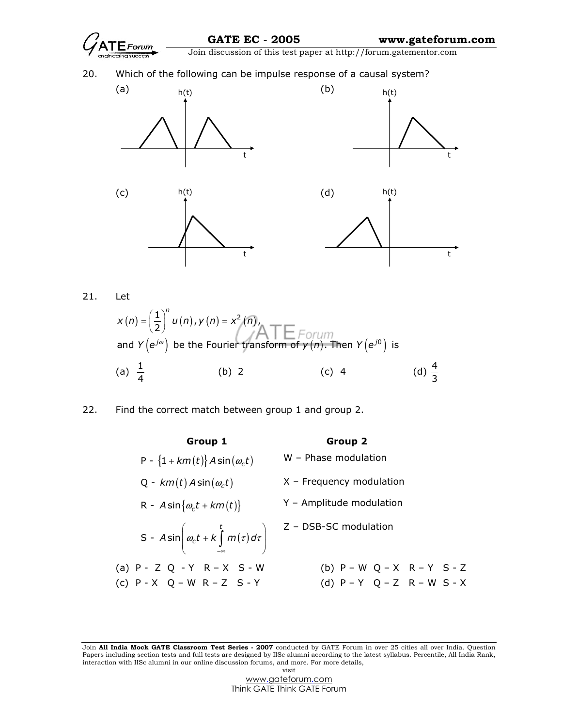

 $(n) = \left| \frac{1}{2} \right| u(n)$ ,  $y(n) = x^2(n)$  $\left( e^{j\omega}\right)$  be the Fourier transform of  $\gamma \left( n\right) .$  Then  $Y\left( e^{j0}\right)$ 0  $\left(\frac{1}{2}\right)^{n} u(n), y(n) = x^{2}(n),$ and  $Y(e^{j\omega})$  be the Fourier transform of  $y(n)$ . Then  $Y(e^{j\omega})$  is  $j\omega$ ) ho the Fourier transform of  $y(n)$ . Then  $y(n)$  $x(n) = \frac{1}{2} | u(n), y(n) = x^2(n)$  $Y(e^{j\omega})$  be the Fourier transform of  $y(n)$ . Then  $Y(e^{j\omega})$  $=\left(\frac{1}{2}\right)^{n} u(n)$  ,  $y(n)=$ (a)  $\frac{1}{4}$ (b) 2 (c) 4 (d)  $\frac{4}{3}$ 

22. Find the correct match between group 1 and group 2.

| Group 1                                                                                            | <b>Group 2</b>                      |
|----------------------------------------------------------------------------------------------------|-------------------------------------|
| P - $\{1+km(t)\}$ A sin $(\omega_c t)$                                                             | W - Phase modulation                |
| Q - $km(t)$ A sin $(\omega_c t)$                                                                   | $X$ – Frequency modulation          |
| R - $A \sin{\omega_c t + km(t)}$                                                                   | Y - Amplitude modulation            |
| S - $A\sin\left(\omega_c t + k\int\limits_{-\infty}^t m(\tau)d\tau\right)$ $Z$ - DSB-SC modulation |                                     |
| (a) $P - Z Q - Y R - X S - W$                                                                      | (b) $P-WQ-XR-YS-Z$                  |
| (c) $P - X$ $Q - W$ $R - Z$ $S - Y$                                                                | (d) $P - Y$ $Q - Z$ $R - W$ $S - X$ |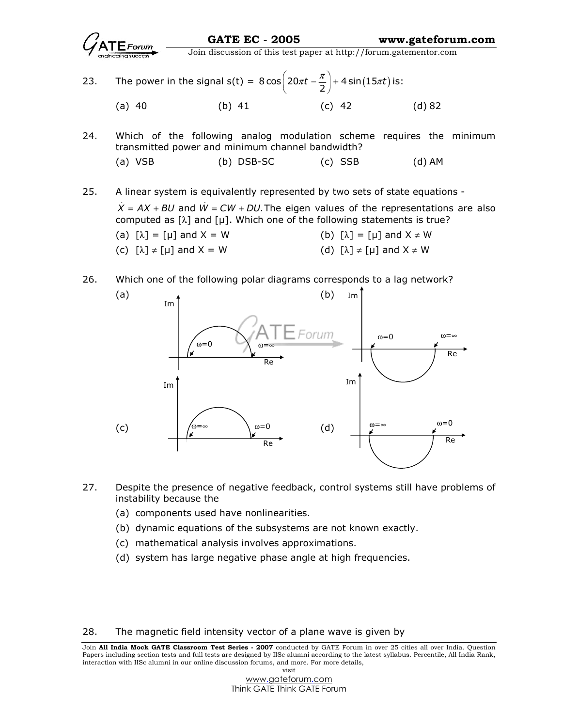

23. The power in the signal  $s(t) = 8 \cos \left( 20 \pi t - \frac{\pi}{2} \right) + 4 \sin \left( 15 \pi t \right)$  $\pi t - \frac{\pi}{2}$  + 4 sin (15 $\pi t$ ) is: (a) 40 (b) 41 (c) 42 (d) 82

24. Which of the following analog modulation scheme requires the minimum transmitted power and minimum channel bandwidth? (a) VSB (b) DSB-SC (c) SSB (d) AM

25. A linear system is equivalently represented by two sets of state equations -

 $\dot{X} = AX + BU$  and  $\dot{W} = CW + DU$ . The eigen values of the representations are also computed as  $[\lambda]$  and  $[\mu]$ . Which one of the following statements is true?

- (a)  $[\lambda] = [\mu]$  and  $X = W$  (b)  $[\lambda] = [\mu]$  and  $X \neq W$
- (c)  $[\lambda] \neq [\mu]$  and  $X = W$  (d)  $[\lambda] \neq [\mu]$  and  $X \neq W$

26. Which one of the following polar diagrams corresponds to a lag network?



- 27. Despite the presence of negative feedback, control systems still have problems of instability because the
	- (a) components used have nonlinearities.
	- (b) dynamic equations of the subsystems are not known exactly.
	- (c) mathematical analysis involves approximations.
	- (d) system has large negative phase angle at high frequencies.

28. The magnetic field intensity vector of a plane wave is given by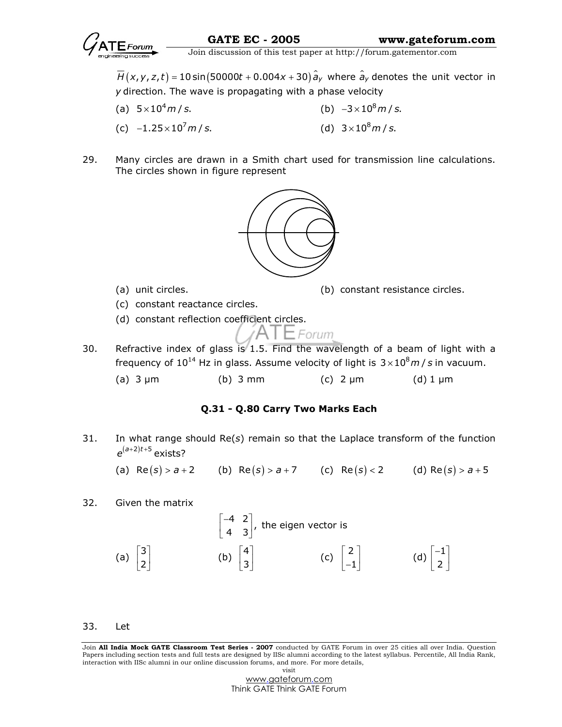

 $\overline{H}(x,y,z,t)$  = 10 sin(50000 $t$  + 0.004 $x$  + 30)  $\hat{a}_y$  where  $\hat{a}_y$  denotes the unit vector in y direction. The wave is propagating with a phase velocity

- (a)  $5 \times 10^4 m / s$ . (b)  $-3 \times 10^8$  m / s. (c)  $-1.25 \times 10^7 m/s$ . (d)  $3 \times 10^8$  m / s.
- 29. Many circles are drawn in a Smith chart used for transmission line calculations. The circles shown in figure represent



- 
- (a) unit circles. (b) constant resistance circles.
- (c) constant reactance circles.
- (d) constant reflection coefficient circles.

$$
ATE^{Form}
$$

- 30. Refractive index of glass is 1.5. Find the wavelength of a beam of light with a frequency of 10<sup>14</sup> Hz in glass. Assume velocity of light is  $3 \times 10^8 m / s$  in vacuum.
	- (a)  $3 \mu m$  (b)  $3 \mu m$  (c)  $2 \mu m$  (d)  $1 \mu m$

# Q.31 - Q.80 Carry Two Marks Each

31. In what range should  $Re(s)$  remain so that the Laplace transform of the function  $e^{(a+2)t+5}$  exists?

(a)  $Re(s) > a + 2$  (b)  $Re(s) > a + 7$  (c)  $Re(s) < 2$  (d)  $Re(s) > a + 5$ 

32. Given the matrix

$$
\begin{bmatrix} -4 & 2 \ 4 & 3 \end{bmatrix}
$$
, the eigen vector is  
\n(a)  $\begin{bmatrix} 3 \ 2 \end{bmatrix}$  (b)  $\begin{bmatrix} 4 \ 3 \end{bmatrix}$  (c)  $\begin{bmatrix} 2 \ -1 \end{bmatrix}$  (d)  $\begin{bmatrix} -1 \ 2 \end{bmatrix}$ 

33. Let

Join All India Mock GATE Classroom Test Series - 2007 conducted by GATE Forum in over 25 cities all over India. Question Papers including section tests and full tests are designed by IISc alumni according to the latest syllabus. Percentile, All India Rank, interaction with IISc alumni in our online discussion forums, and more. For more details, visit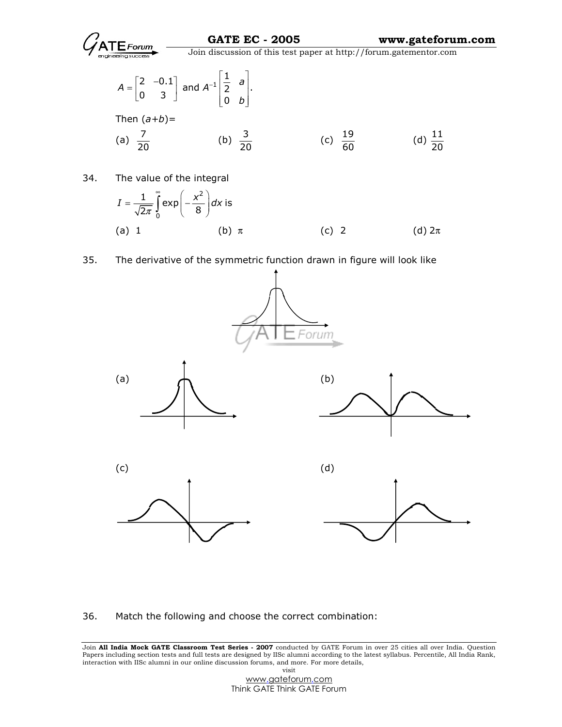

$$
A = \begin{bmatrix} 2 & -0.1 \\ 0 & 3 \end{bmatrix} \text{ and } A^{-1} \begin{bmatrix} \frac{1}{2} & a \\ 0 & b \end{bmatrix}.
$$
  
Then  $(a+b)=$   
(a)  $\frac{7}{20}$  (b)  $\frac{3}{20}$  (c)  $\frac{19}{60}$  (d)  $\frac{11}{20}$ 

34. The value of the integral

$$
I = \frac{1}{\sqrt{2\pi}} \int_{0}^{\infty} \exp\left(-\frac{x^{2}}{8}\right) dx \text{ is}
$$
\n(a) 1\n(b)  $\pi$ \n(c) 2\n(d)  $2\pi$ 

### 35. The derivative of the symmetric function drawn in figure will look like



36. Match the following and choose the correct combination: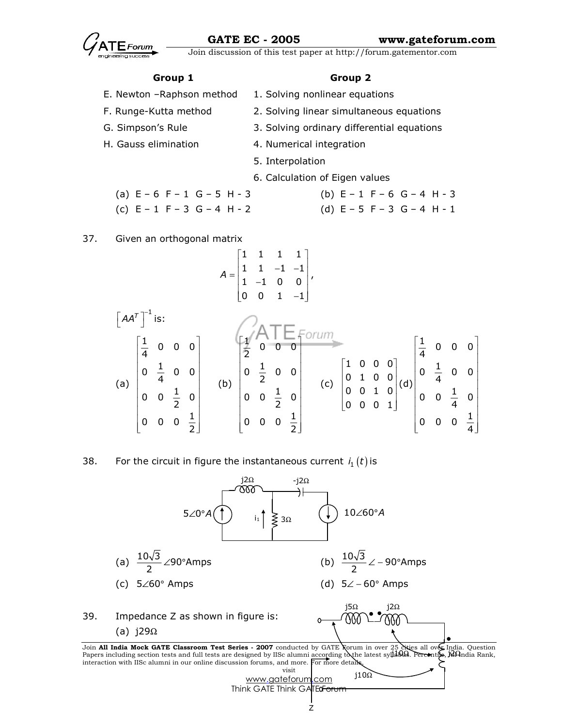

# Group 1 Group 2

- E. Newton -Raphson method 1. Solving nonlinear equations
- F. Runge-Kutta method 2. Solving linear simultaneous equations
- G. Simpson's Rule 3. Solving ordinary differential equations
- H. Gauss elimination 4. Numerical integration
	- 5. Interpolation
	- 6. Calculation of Eigen values
	- (a)  $E 6 F 1 G 5 H 3$  (b)  $E 1 F 6 G 4 H 3$ (c)  $E - 1 F - 3 G - 4 H - 2$  (d)  $E - 5 F - 3 G - 4 H - 1$

# 37. Given an orthogonal matrix

$$
A = \begin{bmatrix} 1 & 1 & 1 & 1 \\ 1 & 1 & -1 & -1 \\ 1 & -1 & 0 & 0 \\ 0 & 0 & 1 & -1 \end{bmatrix},
$$

$$
\begin{bmatrix} AA^T \end{bmatrix}^{-1} \text{ is:}
$$
\n
$$
\begin{bmatrix} \frac{1}{4} & 0 & 0 & 0 \\ 0 & \frac{1}{4} & 0 & 0 \\ 0 & 0 & \frac{1}{2} & 0 \\ 0 & 0 & 0 & \frac{1}{2} \end{bmatrix}
$$
\n
$$
\begin{bmatrix} \frac{1}{2} & 0 & 0 & 0 \\ 0 & \frac{1}{2} & 0 & 0 \\ 0 & 0 & \frac{1}{2} & 0 \\ 0 & 0 & 0 & \frac{1}{2} \end{bmatrix}
$$
\n
$$
\begin{bmatrix} 1 & 0 & 0 & 0 \\ 0 & 1 & 0 & 0 \\ 0 & 0 & 1 & 0 \\ 0 & 0 & 0 & 1 \end{bmatrix}
$$
\n
$$
\begin{bmatrix} 1 & 0 & 0 & 0 \\ 0 & 1 & 0 & 0 \\ 0 & 0 & 1 & 0 \\ 0 & 0 & 0 & 1 \end{bmatrix}
$$
\n
$$
\begin{bmatrix} \frac{1}{4} & 0 & 0 & 0 \\ 0 & \frac{1}{4} & 0 & 0 \\ 0 & 0 & \frac{1}{4} & 0 \\ 0 & 0 & 0 & \frac{1}{4} \end{bmatrix}
$$

38. For the circuit in figure the instantaneous current  $i_1(t)$  is



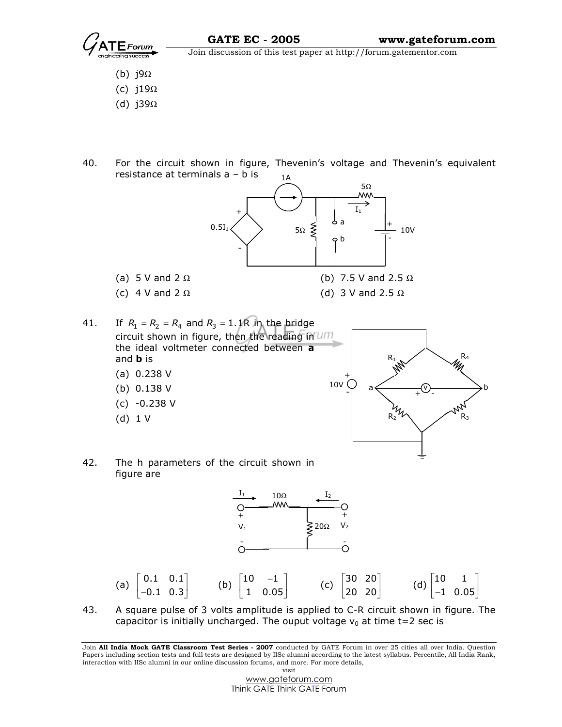$\overline{\text{Join}}$  Join discussion of this test paper at http://forum.gatementor.com

- (b) j9Ω
- (c) j19Ω
- (d) j39Ω
- 40. For the circuit shown in figure, Thevenin's voltage and Thevenin's equivalent resistance at terminals a – b is 1A



(c)  $4 \text{ V}$  and  $2 \Omega$  (d)  $3 \text{ V}$  and  $2.5 \Omega$ 

41. If  $R_1 = R_2 = R_4$  and  $R_3 = 1.1R$  in the bridge circuit shown in figure, then the reading in um the ideal voltmeter connected between a and **b** is

- (a) 0.238 V
- (b) 0.138 V
- (c) -0.238 V
- (d) 1 V



42. The h parameters of the circuit shown in figure are



43. A square pulse of 3 volts amplitude is applied to C-R circuit shown in figure. The capacitor is initially uncharged. The ouput voltage  $v_0$  at time t=2 sec is

Join All India Mock GATE Classroom Test Series - 2007 conducted by GATE Forum in over 25 cities all over India. Question Papers including section tests and full tests are designed by IISc alumni according to the latest syllabus. Percentile, All India Rank, interaction with IISc alumni in our online discussion forums, and more. For more details, visit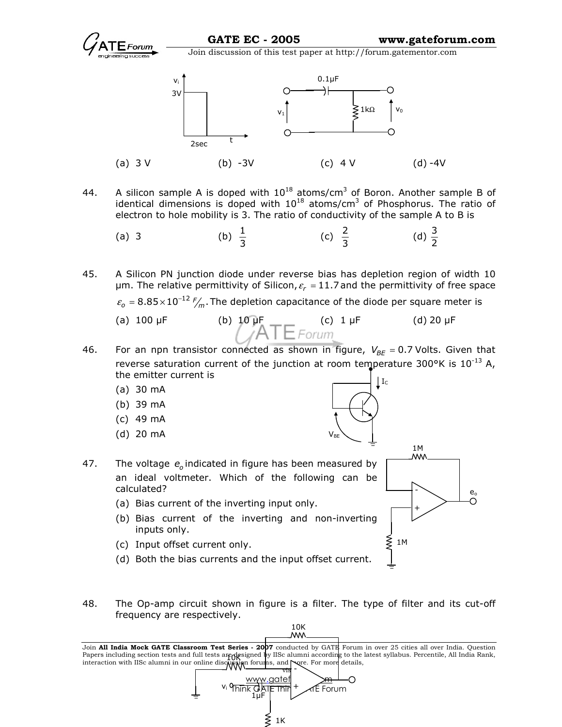



- 44. A silicon sample A is doped with  $10^{18}$  atoms/cm<sup>3</sup> of Boron. Another sample B of identical dimensions is doped with  $10^{18}$  atoms/cm<sup>3</sup> of Phosphorus. The ratio of electron to hole mobility is 3. The ratio of conductivity of the sample A to B is
- (a) 3 (b)  $\frac{1}{3}$ (c)  $\frac{2}{3}$ (d)  $\frac{3}{2}$

45. A Silicon PN junction diode under reverse bias has depletion region of width 10 µm. The relative permittivity of Silicon,  $\varepsilon_r$  = 11.7 and the permittivity of free space

 $\varepsilon_{o}$  = 8.85 $\times$ 10<sup>-12</sup>  $\frac{F}{m}$ . The depletion capacitance of the diode per square meter is

- (a) 100  $\mu$ F (b) 10  $\mu$ F (c) 1  $\mu$ F (d) 20  $\mu$ F (d) 20  $\mu$ F
- 46. For an npn transistor connected as shown in figure,  $V_{BE} = 0.7$  Volts. Given that reverse saturation current of the junction at room temperature 300°K is  $10^{-13}$  A, the emitter current is  $\lfloor$  I<sub>C</sub>

 $\mathsf{V}_{\mathsf{BE}}$ 

- (a) 30 mA
- (b) 39 mA
- (c) 49 mA
- (d) 20 mA



- (a) Bias current of the inverting input only.
- (b) Bias current of the inverting and non-inverting inputs only.
- (c) Input offset current only.
- (d) Both the bias currents and the input offset current.
- 48. The Op-amp circuit shown in figure is a filter. The type of filter and its cut-off frequency are respectively.

10K<br>.WM



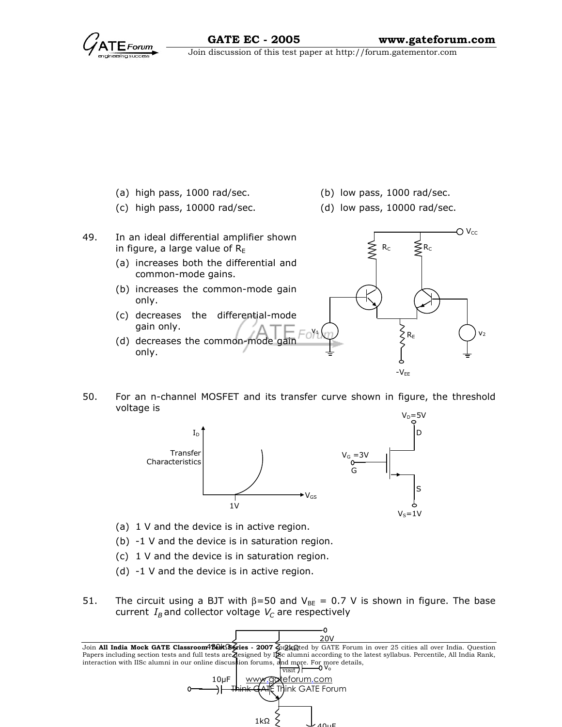

- (a) high pass, 1000 rad/sec. (b) low pass, 1000 rad/sec.
- (c) high pass, 10000 rad/sec. (d) low pass, 10000 rad/sec.
- 
- 
- 49. In an ideal differential amplifier shown in figure, a large value of  $R<sub>E</sub>$ 
	- (a) increases both the differential and common-mode gains.
	- (b) increases the common-mode gain only.
	- (c) decreases the differential-mode gain only.
	- (d) decreases the common-mode only.



50. For an n-channel MOSFET and its transfer curve shown in figure, the threshold voltage is



- (a) 1 V and the device is in active region.
- (b) -1 V and the device is in saturation region.
- (c) 1 V and the device is in saturation region.
- (d) -1 V and the device is in active region.
- 51. The circuit using a BJT with  $β=50$  and  $V_{BE} = 0.7$  V is shown in figure. The base current  $I_{\mathcal{B}}$  and collector voltage  $\mathcal{V}_{\mathcal{C}}$  are respectively

Join **All India Mock GATE Classroom4'B&kS§≰ries - 2007 ζ**onλkQted by GATE Forum in over 25 cities all over India. Question Papers including section tests and full tests are designed by IISc alumni according to the latest syllabus. Percentile, All India Rank, interaction with IISc alumni in our online discussion forums, and more. For more details,  $\frac{1}{\text{v}\cdot\text{s}}$   $\frac{1}{\text{v}\cdot\text{s}}$ visit) www.goteforum.com  $\colon$ Think GATE Forum <u>20V</u>  $10<sub>U</sub>F$ 

 $1k\Omega$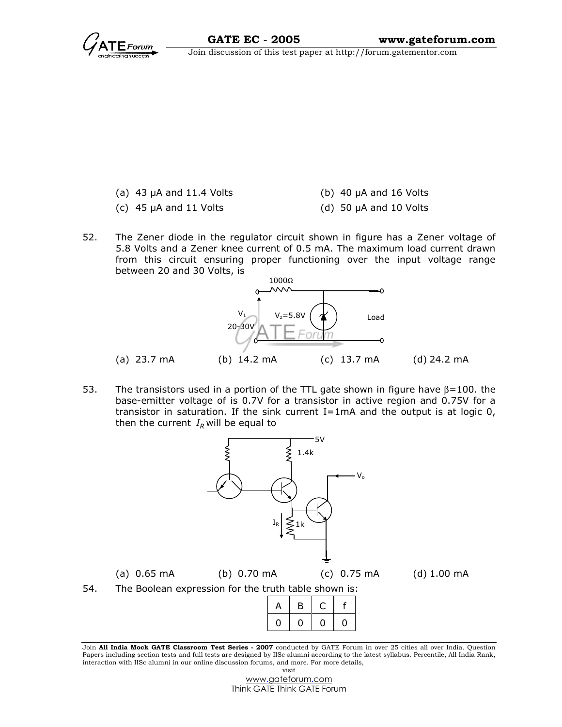- (a)  $43 \mu A$  and  $11.4 \text{ Volts}$  (b)  $40 \mu A$  and  $16 \text{ Volts}$ 
	-
- 
- (c)  $45 \mu A$  and  $11 \text{ Volts}$  (d)  $50 \mu A$  and  $10 \text{ Volts}$
- 52. The Zener diode in the regulator circuit shown in figure has a Zener voltage of 5.8 Volts and a Zener knee current of 0.5 mA. The maximum load current drawn from this circuit ensuring proper functioning over the input voltage range between 20 and 30 Volts, is



53. The transistors used in a portion of the TTL gate shown in figure have  $β=100$ . the base-emitter voltage of is 0.7V for a transistor in active region and 0.75V for a transistor in saturation. If the sink current  $I=1mA$  and the output is at logic  $0$ , then the current  $I_R$  will be equal to



Join All India Mock GATE Classroom Test Series - 2007 conducted by GATE Forum in over 25 cities all over India. Question Papers including section tests and full tests are designed by IISc alumni according to the latest syllabus. Percentile, All India Rank, interaction with IISc alumni in our online discussion forums, and more. For more details, visit

> www.gateforum.com Think GATE Think GATE Forum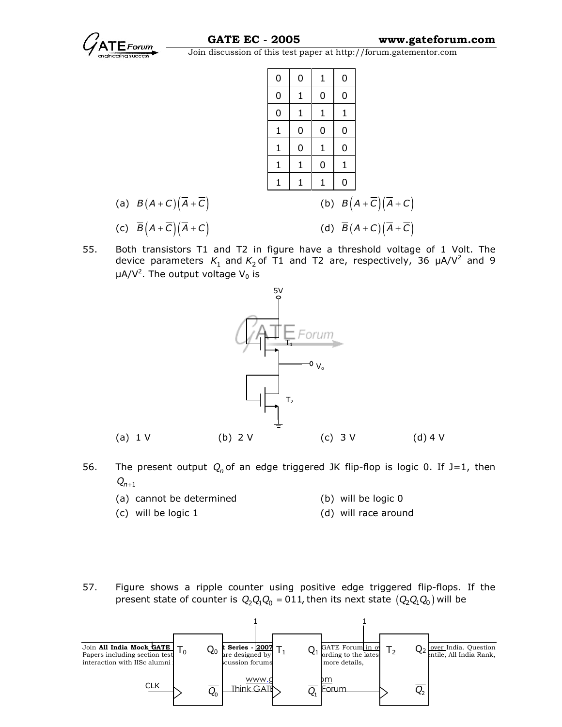

|                                                    | 0            | 0            | 1            | 0        |                                                    |
|----------------------------------------------------|--------------|--------------|--------------|----------|----------------------------------------------------|
|                                                    | $\mathbf 0$  | $\mathbf{1}$ | 0            | 0        |                                                    |
|                                                    | 0            | $\mathbf{1}$ | $\mathbf{1}$ | 1        |                                                    |
|                                                    | $\mathbf{1}$ | 0            | 0            | 0        |                                                    |
|                                                    | $\mathbf{1}$ | 0            | $\mathbf{1}$ | 0        |                                                    |
|                                                    | 1            | $\mathbf{1}$ | 0            | 1        |                                                    |
|                                                    | 1            | 1            | 1            | $\Omega$ |                                                    |
| (a) $B(A+C)(\overline{A}+\overline{C})$            |              |              |              |          | (b) $B(A+\overline{C})(\overline{A}+C)$            |
| (c) $\overline{B}(A+\overline{C})(\overline{A}+C)$ |              |              |              |          | (d) $\overline{B}(A+C)(\overline{A}+\overline{C})$ |

55. Both transistors T1 and T2 in figure have a threshold voltage of 1 Volt. The device parameters  $K_1$  and  $K_2$  of T1 and T2 are, respectively, 36  $\mu$ A/V<sup>2</sup> and 9  $\mu$ A/V<sup>2</sup>. The output voltage V<sub>0</sub> is



- 56. The present output  $Q_n$  of an edge triggered JK flip-flop is logic 0. If J=1, then  $Q_{n+1}$ 
	- (a) cannot be determined (b) will be logic 0
	- (c) will be logic 1 (d) will race around
- 57. Figure shows a ripple counter using positive edge triggered flip-flops. If the present state of counter is  $Q_2 Q_1 Q_0 = 011$ , then its next state  $(Q_2 Q_1 Q_0)$  will be

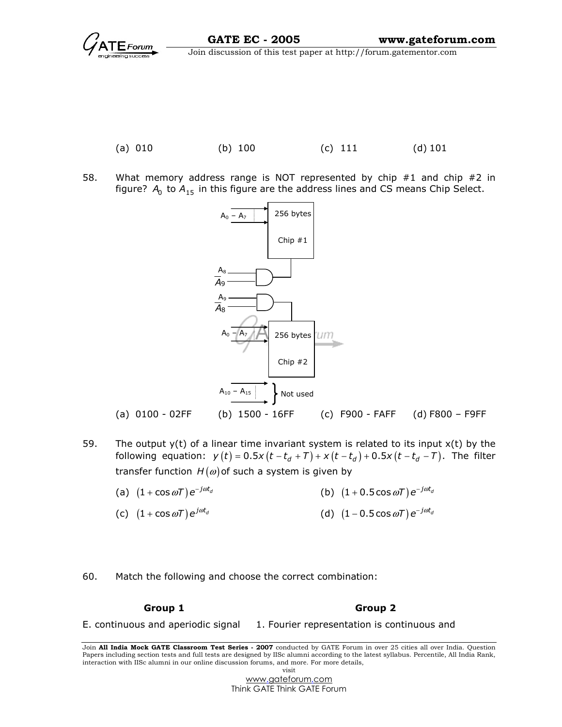

58. What memory address range is NOT represented by chip #1 and chip #2 in figure?  $A_0$  to  $A_{15}$  in this figure are the address lines and CS means Chip Select.



- 59. The output  $y(t)$  of a linear time invariant system is related to its input  $x(t)$  by the following equation:  $y(t) = 0.5x(t - t_d + T) + x(t - t_d) + 0.5x(t - t_d - T)$ . The filter transfer function  $H(\omega)$  of such a system is given by
- (a)  $\left(1+\cos\omega\mathcal{ T}\right)\mathsf{e}^{-j\omega t_{d}}$ +  $\cos \omega T$ )  $e^{-j\omega t_d}$  (b)  $(1 + 0.5 \cos \omega T) e^{-j\omega t_d}$
- (c)  $(1 + \cos \omega T) e^{j \omega t_d}$  $+ \cos \omega T) e^{j \omega t_d}$  (d)  $(1 - 0.5 \cos \omega T) e^{-j \omega t_d}$
- 60. Match the following and choose the correct combination:

Group 1 Group 2

E. continuous and aperiodic signal 1. Fourier representation is continuous and

Join All India Mock GATE Classroom Test Series - 2007 conducted by GATE Forum in over 25 cities all over India. Question Papers including section tests and full tests are designed by IISc alumni according to the latest syllabus. Percentile, All India Rank, interaction with IISc alumni in our online discussion forums, and more. For more details, visit

> www.gateforum.com Think GATE Think GATE Forum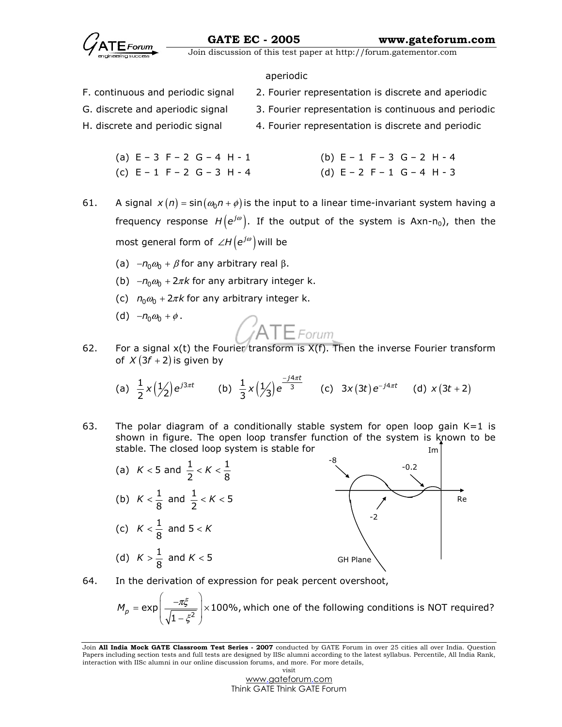### aperiodic

- F. continuous and periodic signal 2. Fourier representation is discrete and aperiodic
- G. discrete and aperiodic signal 3. Fourier representation is continuous and periodic
- H. discrete and periodic signal 4. Fourier representation is discrete and periodic
	- (a)  $E 3 F 2 G 4 H 1$  (b)  $E 1 F 3 G 2 H 4$ (c)  $E - 1$   $F - 2$   $G - 3$   $H - 4$  (d)  $E - 2$   $F - 1$   $G - 4$   $H - 3$
- 61. A signal  $x(n) = \sin(\omega_0 n + \phi)$  is the input to a linear time-invariant system having a frequency response  $H\!\left(\mathsf{e}^{j\omega}\right)$ . If the output of the system is Axn-n $_0$ ), then the most general form of  $\angle H \left( e^{j\omega} \right)$  will be
	- (a)  $-n_0 \omega_0 + \beta$  for any arbitrary real  $\beta$ .
	- (b)  $-n_0 \omega_0 + 2\pi k$  for any arbitrary integer k.
	- (c)  $n_0 \omega_0 + 2\pi k$  for any arbitrary integer k.
	- (d)  $-n_0 \omega_0 + \phi$ .

62. For a signal  $x(t)$  the Fourier transform is  $X(f)$ . Then the inverse Fourier transform of  $X(3f + 2)$  is given by

(a) 
$$
\frac{1}{2}x(\frac{1}{2})e^{j3\pi t}
$$
 (b)  $\frac{1}{3}x(\frac{1}{3})e^{\frac{-j4\pi t}{3}}$  (c)  $3x(3t)e^{-j4\pi t}$  (d)  $x(3t+2)$ 

- Im 63. The polar diagram of a conditionally stable system for open loop gain  $K=1$  is shown in figure. The open loop transfer function of the system is known to be stable. The closed loop system is stable for
- -8 -0.2 Re -2 GH Plane (a)  $K < 5$  and  $\frac{1}{2} < K < \frac{1}{8}$ (b)  $K < \frac{1}{8}$  and  $\frac{1}{2} < K < 5$ (c)  $K < \frac{1}{8}$  and  $5 < K$ (d)  $K > \frac{1}{8}$  and  $K < 5$
- 64. In the derivation of expression for peak percent overshoot,

 $\exp\left[\frac{1.75}{\sqrt{1-\varepsilon^2}}\right] \times 100\%$ 1  $M_p = \exp\left(-\frac{-\pi \xi}{\sqrt{2\pi}}\right)$ ξ  $=\exp\left(-\frac{-\pi\xi}{\sqrt{1-\pi}}\right)\times$  $\left(\frac{m}{\sqrt{1-\xi^2}}\right)$ ×100%, which one of the following conditions is NOT required?

Join All India Mock GATE Classroom Test Series - 2007 conducted by GATE Forum in over 25 cities all over India. Question Papers including section tests and full tests are designed by IISc alumni according to the latest syllabus. Percentile, All India Rank, interaction with IISc alumni in our online discussion forums, and more. For more details, visit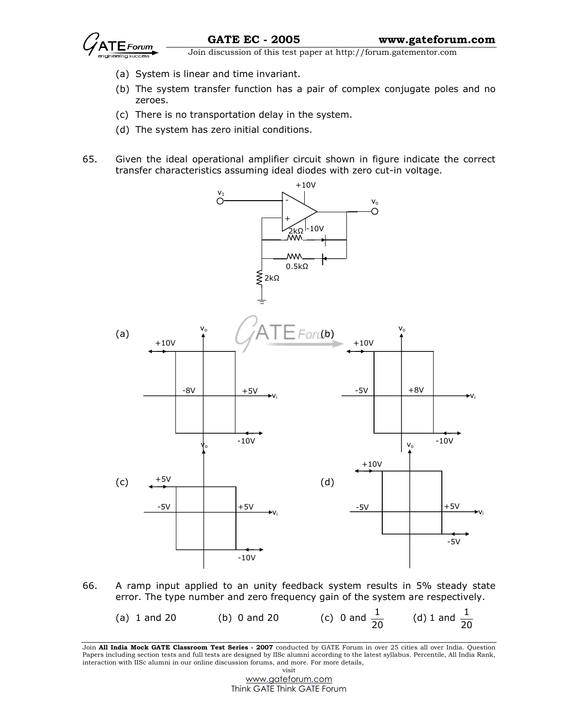

Forum  $\overline{\phantom{a}}$  Join discussion of this test paper at http://forum.gatementor.com

- (a) System is linear and time invariant.
- (b) The system transfer function has a pair of complex conjugate poles and no zeroes.
- (c) There is no transportation delay in the system.
- (d) The system has zero initial conditions.
- 65. Given the ideal operational amplifier circuit shown in figure indicate the correct transfer characteristics assuming ideal diodes with zero cut-in voltage.



66. A ramp input applied to an unity feedback system results in 5% steady state error. The type number and zero frequency gain of the system are respectively.

| (a) $1$ and $20$ | (b) $0$ and $20$ | (c) 0 and $\frac{1}{20}$ | (d) 1 and $\frac{1}{20}$ |
|------------------|------------------|--------------------------|--------------------------|
|------------------|------------------|--------------------------|--------------------------|

Join All India Mock GATE Classroom Test Series - 2007 conducted by GATE Forum in over 25 cities all over India. Question Papers including section tests and full tests are designed by IISc alumni according to the latest syllabus. Percentile, All India Rank, interaction with IISc alumni in our online discussion forums, and more. For more details, visit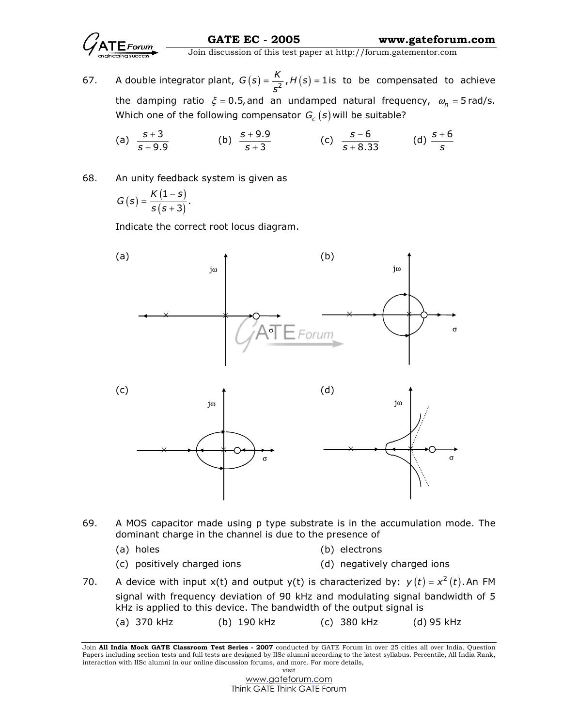

67. A double integrator plant,  $G(s) = \frac{K}{c^2}$ ,  $H(s) = 1$ i s  $=\frac{1}{2}$ ,  $H(s)$  = 1 is to be compensated to achieve the damping ratio  $\xi$  = 0.5, and an undamped natural frequency,  $\omega_n$  = 5 rad/s. Which one of the following compensator  $G_c(s)$  will be suitable?

(a) 
$$
\frac{s+3}{s+9.9}
$$
 (b)  $\frac{s+9.9}{s+3}$  (c)  $\frac{s-6}{s+8.33}$  (d)  $\frac{s+6}{s}$ 

68. An unity feedback system is given as

$$
G(s) = \frac{K(1-s)}{s(s+3)}.
$$

Indicate the correct root locus diagram.



- 69. A MOS capacitor made using p type substrate is in the accumulation mode. The dominant charge in the channel is due to the presence of
	- (a) holes (b) electrons
	- (c) positively charged ions (d) negatively charged ions
- 70. A device with input x(t) and output y(t) is characterized by:  $y(t) = x^2(t)$ . An FM signal with frequency deviation of 90 kHz and modulating signal bandwidth of 5 kHz is applied to this device. The bandwidth of the output signal is
	- (a) 370 kHz (b) 190 kHz (c) 380 kHz (d) 95 kHz

Join All India Mock GATE Classroom Test Series - 2007 conducted by GATE Forum in over 25 cities all over India. Question Papers including section tests and full tests are designed by IISc alumni according to the latest syllabus. Percentile, All India Rank, interaction with IISc alumni in our online discussion forums, and more. For more details, visit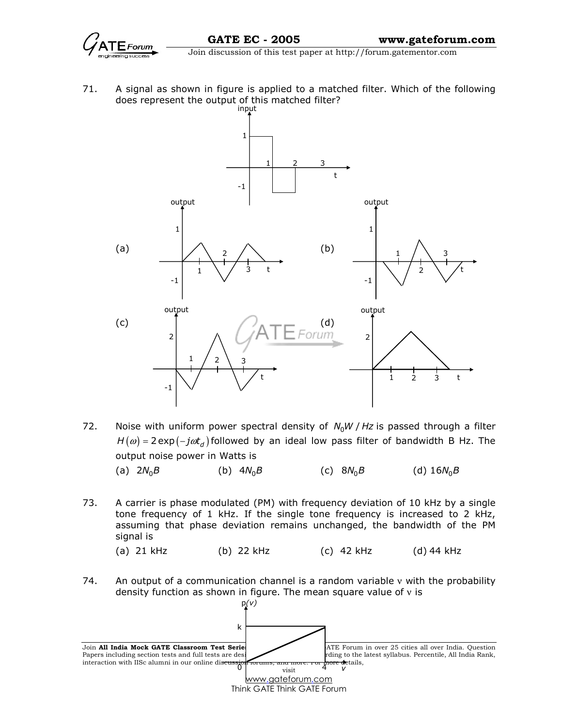

71. A signal as shown in figure is applied to a matched filter. Which of the following does represent the output of this matched filter?



- 72. Noise with uniform power spectral density of  $N_0 W / Hz$  is passed through a filter  $H(\omega) = 2 \exp(-j\omega t_d)$  followed by an ideal low pass filter of bandwidth B Hz. The output noise power in Watts is (a)  $2N_0B$ (b)  $4N_0B$ (c)  $8N_0B$ (d)  $16N_0B$
- 73. A carrier is phase modulated (PM) with frequency deviation of 10 kHz by a single tone frequency of 1 kHz. If the single tone frequency is increased to 2 kHz, assuming that phase deviation remains unchanged, the bandwidth of the PM signal is
	- (a) 21 kHz (b) 22 kHz (c) 42 kHz (d) 44 kHz
- 74. An output of a communication channel is a random variable v with the probability density function as shown in figure. The mean square value of ν is

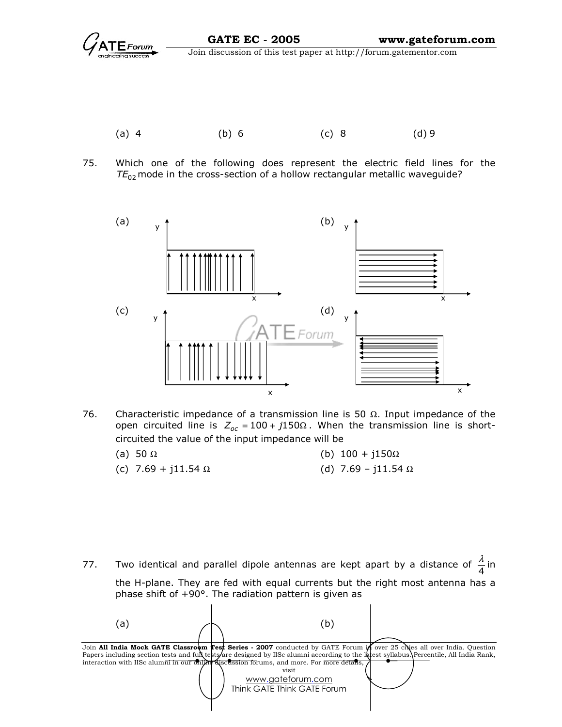

- (a) 4 (b) 6 (c) 8 (d) 9
- 75. Which one of the following does represent the electric field lines for the  $TE_{02}$  mode in the cross-section of a hollow rectangular metallic waveguide?



76. Characteristic impedance of a transmission line is 50  $\Omega$ . Input impedance of the open circuited line is  $Z_{oc} = 100 + j150\Omega$ . When the transmission line is shortcircuited the value of the input impedance will be

| (a) 50 $\Omega$            | (b) $100 + i150\Omega$     |
|----------------------------|----------------------------|
| (c) 7.69 + j11.54 $\Omega$ | (d) 7.69 - j11.54 $\Omega$ |

77. Two identical and parallel dipole antennas are kept apart by a distance of  $\frac{\pi}{4}$  $\frac{\lambda}{\tau}$  in the H-plane. They are fed with equal currents but the right most antenna has a phase shift of +90°. The radiation pattern is given as

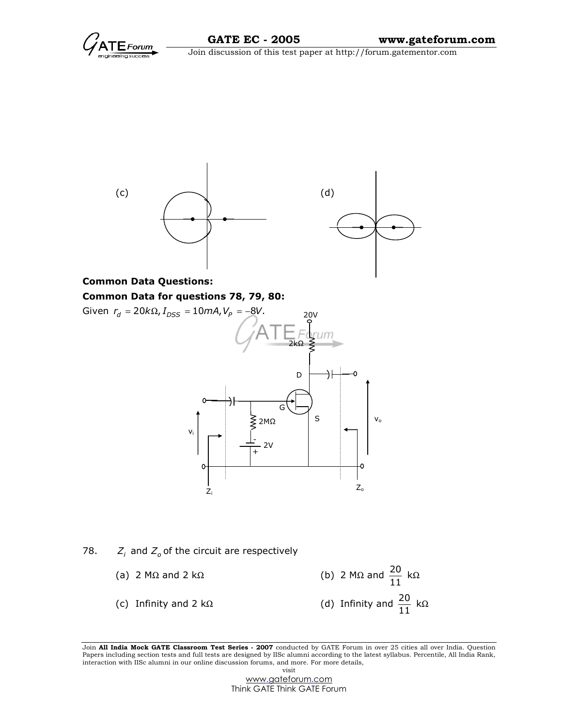



# Common Data for questions 78, 79, 80:

Given  $r_d = 20 k\Omega, I_{DSS} = 10 mA, V_P = -8V$ . 20V 2kΩ -) ł D G S⋛ v<sup>o</sup> 2MΩ vi - 2V +  $Z_{\alpha}$ Z<sup>i</sup>

# 78.  $Z_i$  and  $Z_o$  of the circuit are respectively

(a) 2 M $\Omega$  and 2 k $\Omega$  (b) 2 M $\Omega$  and  $\frac{20}{11}$  k $\Omega$ (c) Infinity and 2 kΩ (d) Infinity and  $\frac{20}{11}$  kΩ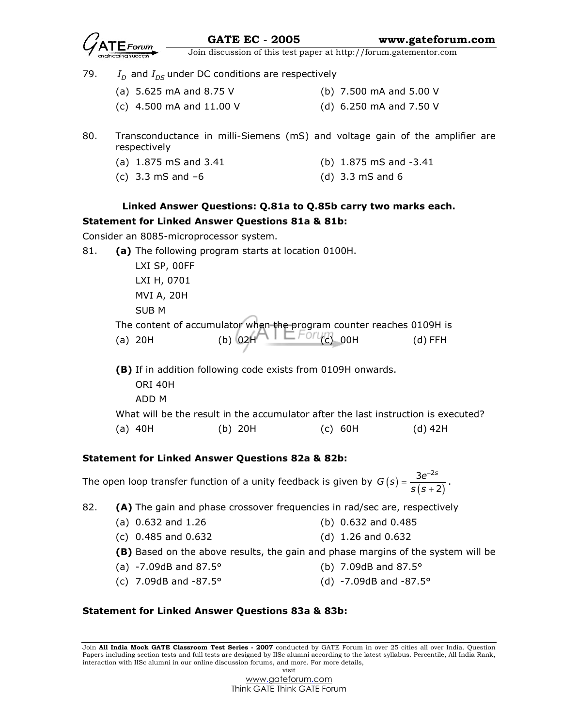

- 79.  $I_D$  and  $I_{DS}$  under DC conditions are respectively
	- (a) 5.625 mA and 8.75 V (b) 7.500 mA and 5.00 V
	- (c) 4.500 mA and 11.00 V (d) 6.250 mA and 7.50 V
- 80. Transconductance in milli-Siemens (mS) and voltage gain of the amplifier are respectively
	- (a) 1.875 mS and 3.41 (b) 1.875 mS and -3.41
		-
	- (c) 3.3 mS and –6 (d) 3.3 mS and 6

# Linked Answer Questions: Q.81a to Q.85b carry two marks each. Statement for Linked Answer Questions 81a & 81b:

Consider an 8085-microprocessor system.

81. **(a)** The following program starts at location 0100H.

 LXI SP, 00FF LXI H, 0701 MVI A, 20H SUB M

 The content of accumulator when the program counter reaches 0109H is (a) 20H (b) 02H (c) 00H (d) FFH

(B) If in addition following code exists from 0109H onwards. ORI 40H ADD M What will be the result in the accumulator after the last instruction is executed? (a) 40H (b) 20H (c) 60H (d) 42H

# Statement for Linked Answer Questions 82a & 82b:

The open loop transfer function of a unity feedback is given by  $G(s) = \frac{3e^{-2s}}{s(s+2)}$ 2  $G(s) = \frac{3e^{-2s}}{s(s + 3s)}$ −  $=\frac{3c}{s(s+1)}$ .

82. **(A)** The gain and phase crossover frequencies in rad/sec are, respectively

- (a) 0.632 and 1.26 (b) 0.632 and 0.485
	- (c) 0.485 and 0.632 (d) 1.26 and 0.632
	- (B) Based on the above results, the gain and phase margins of the system will be
	- (a) -7.09dB and 87.5° (b) 7.09dB and 87.5°
	- (c) 7.09dB and -87.5° (d) -7.09dB and -87.5°

### Statement for Linked Answer Questions 83a & 83b:

Join All India Mock GATE Classroom Test Series - 2007 conducted by GATE Forum in over 25 cities all over India. Question Papers including section tests and full tests are designed by IISc alumni according to the latest syllabus. Percentile, All India Rank, interaction with IISc alumni in our online discussion forums, and more. For more details, visit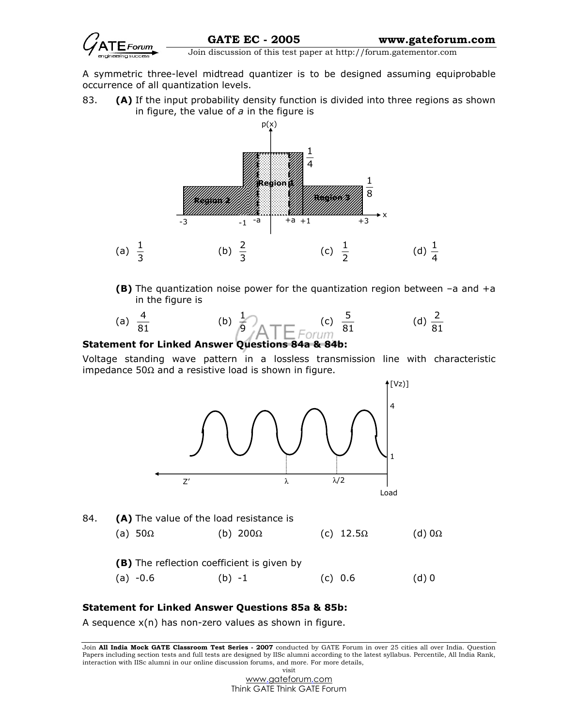

A symmetric three-level midtread quantizer is to be designed assuming equiprobable occurrence of all quantization levels.

83. **(A)** If the input probability density function is divided into three regions as shown in figure, the value of  $a$  in the figure is



(B) The quantization noise power for the quantization region between –a and +a in the figure is

(a) 
$$
\frac{4}{81}
$$
 (b)  $\frac{1}{9}$   $\overline{)}$  (c)  $\frac{5}{81}$  (d)  $\frac{2}{81}$ 

## Statement for Linked Answer Questions 84a & 84b:

Voltage standing wave pattern in a lossless transmission line with characteristic impedance 50Ω and a resistive load is shown in figure.



### Statement for Linked Answer Questions 85a & 85b:

A sequence x(n) has non-zero values as shown in figure.